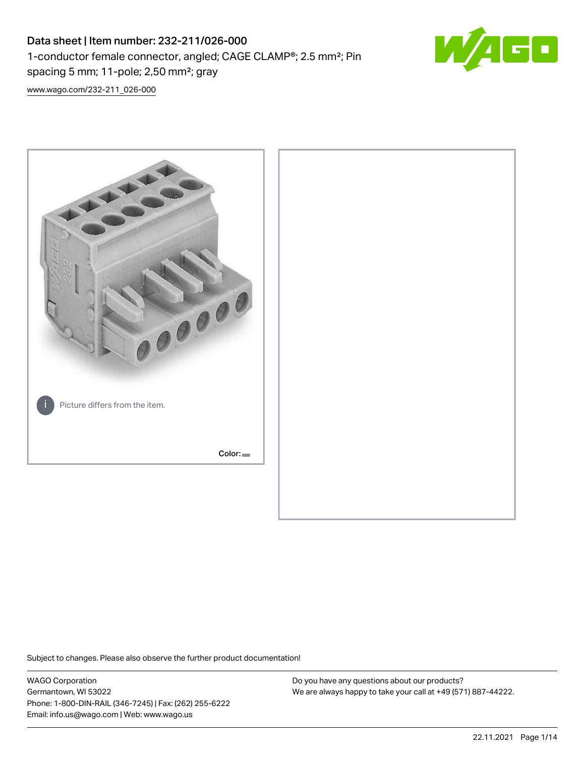# Data sheet | Item number: 232-211/026-000 1-conductor female connector, angled; CAGE CLAMP®; 2.5 mm²; Pin spacing 5 mm; 11-pole; 2,50 mm²; gray



[www.wago.com/232-211\\_026-000](http://www.wago.com/232-211_026-000)



Subject to changes. Please also observe the further product documentation!

WAGO Corporation Germantown, WI 53022 Phone: 1-800-DIN-RAIL (346-7245) | Fax: (262) 255-6222 Email: info.us@wago.com | Web: www.wago.us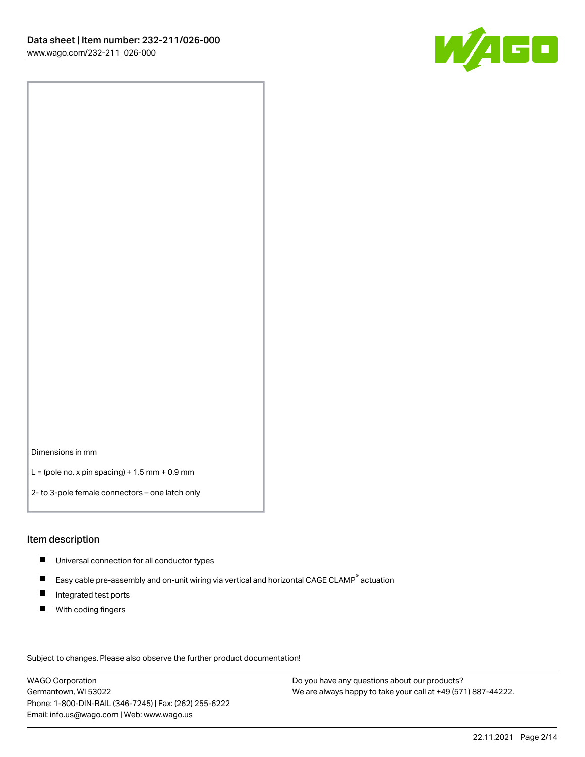

Dimensions in mm

 $L =$  (pole no. x pin spacing) + 1.5 mm + 0.9 mm

2- to 3-pole female connectors – one latch only

#### Item description

- **Universal connection for all conductor types**
- Easy cable pre-assembly and on-unit wiring via vertical and horizontal CAGE CLAMP<sup>®</sup> actuation  $\blacksquare$
- $\blacksquare$ Integrated test ports
- $\blacksquare$ With coding fingers

Subject to changes. Please also observe the further product documentation! Data

WAGO Corporation Germantown, WI 53022 Phone: 1-800-DIN-RAIL (346-7245) | Fax: (262) 255-6222 Email: info.us@wago.com | Web: www.wago.us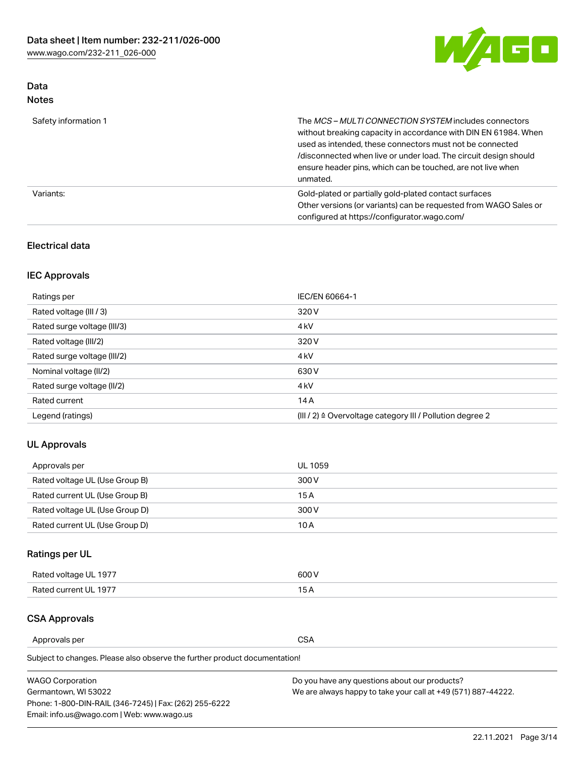

### Data Notes

| Safety information 1 | The MCS-MULTI CONNECTION SYSTEM includes connectors<br>without breaking capacity in accordance with DIN EN 61984. When<br>used as intended, these connectors must not be connected<br>/disconnected when live or under load. The circuit design should<br>ensure header pins, which can be touched, are not live when<br>unmated. |
|----------------------|-----------------------------------------------------------------------------------------------------------------------------------------------------------------------------------------------------------------------------------------------------------------------------------------------------------------------------------|
| Variants:            | Gold-plated or partially gold-plated contact surfaces<br>Other versions (or variants) can be requested from WAGO Sales or<br>configured at https://configurator.wago.com/                                                                                                                                                         |

### Electrical data

## IEC Approvals

| Ratings per                 | IEC/EN 60664-1                                                        |
|-----------------------------|-----------------------------------------------------------------------|
| Rated voltage (III / 3)     | 320 V                                                                 |
| Rated surge voltage (III/3) | 4 <sub>k</sub> V                                                      |
| Rated voltage (III/2)       | 320 V                                                                 |
| Rated surge voltage (III/2) | 4 <sub>k</sub> V                                                      |
| Nominal voltage (II/2)      | 630 V                                                                 |
| Rated surge voltage (II/2)  | 4 <sub>k</sub> V                                                      |
| Rated current               | 14A                                                                   |
| Legend (ratings)            | $(III / 2)$ $\triangle$ Overvoltage category III / Pollution degree 2 |

### UL Approvals

| Approvals per                  | UL 1059 |
|--------------------------------|---------|
| Rated voltage UL (Use Group B) | 300 V   |
| Rated current UL (Use Group B) | 15 A    |
| Rated voltage UL (Use Group D) | 300 V   |
| Rated current UL (Use Group D) | 10 A    |

## Ratings per UL

| Rated voltage UL 1977 | 300 V |
|-----------------------|-------|
| Rated current UL 1977 |       |

#### CSA Approvals

Approvals per CSA

Subject to changes. Please also observe the further product documentation!

| <b>WAGO Corporation</b>                                | Do you have any questions about our products?                 |
|--------------------------------------------------------|---------------------------------------------------------------|
| Germantown, WI 53022                                   | We are always happy to take your call at +49 (571) 887-44222. |
| Phone: 1-800-DIN-RAIL (346-7245)   Fax: (262) 255-6222 |                                                               |
| Email: info.us@wago.com   Web: www.wago.us             |                                                               |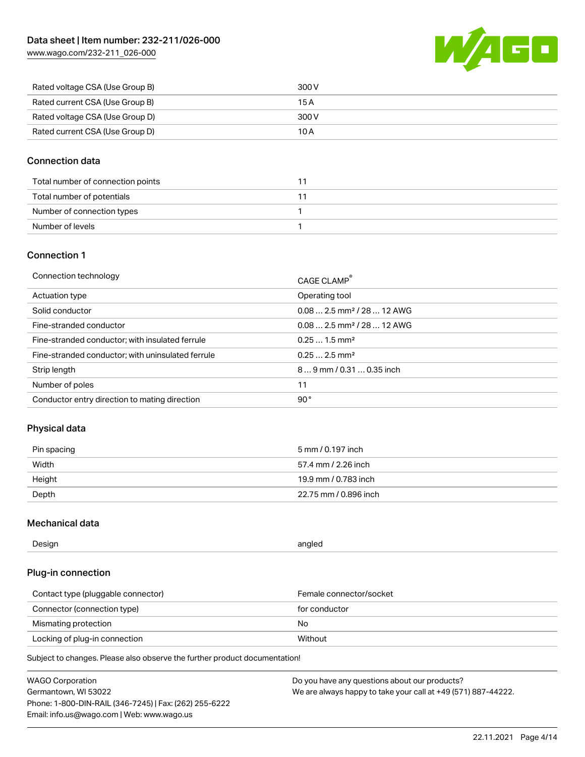[www.wago.com/232-211\\_026-000](http://www.wago.com/232-211_026-000)



| Rated voltage CSA (Use Group B) | 300 V |
|---------------------------------|-------|
| Rated current CSA (Use Group B) | 15 A  |
| Rated voltage CSA (Use Group D) | 300 V |
| Rated current CSA (Use Group D) | 10 A  |

### Connection data

| Total number of connection points |  |
|-----------------------------------|--|
| Total number of potentials        |  |
| Number of connection types        |  |
| Number of levels                  |  |

### Connection 1

| Connection technology                             | CAGE CLAMP®                            |
|---------------------------------------------------|----------------------------------------|
| Actuation type                                    | Operating tool                         |
| Solid conductor                                   | $0.082.5$ mm <sup>2</sup> / 28  12 AWG |
| Fine-stranded conductor                           | $0.082.5$ mm <sup>2</sup> / 28  12 AWG |
| Fine-stranded conductor; with insulated ferrule   | $0.251.5$ mm <sup>2</sup>              |
| Fine-stranded conductor; with uninsulated ferrule | $0.252.5$ mm <sup>2</sup>              |
| Strip length                                      | $89$ mm / 0.31  0.35 inch              |
| Number of poles                                   | 11                                     |
| Conductor entry direction to mating direction     | 90°                                    |
|                                                   |                                        |

### Physical data

| Pin spacing | 5 mm / 0.197 inch     |
|-------------|-----------------------|
| Width       | 57.4 mm / 2.26 inch   |
| Height      | 19.9 mm / 0.783 inch  |
| Depth       | 22.75 mm / 0.896 inch |

### Mechanical data

| Design<br>angled |  |
|------------------|--|
|------------------|--|

### Plug-in connection

| Contact type (pluggable connector) | Female connector/socket |
|------------------------------------|-------------------------|
| Connector (connection type)        | for conductor           |
| Mismating protection               | No.                     |
| Locking of plug-in connection      | Without                 |

Subject to changes. Please also observe the further product documentation!

| <b>WAGO Corporation</b>                                | Do you have any questions about our products?                 |
|--------------------------------------------------------|---------------------------------------------------------------|
| Germantown, WI 53022                                   | We are always happy to take your call at +49 (571) 887-44222. |
| Phone: 1-800-DIN-RAIL (346-7245)   Fax: (262) 255-6222 |                                                               |
| Email: info.us@wago.com   Web: www.wago.us             |                                                               |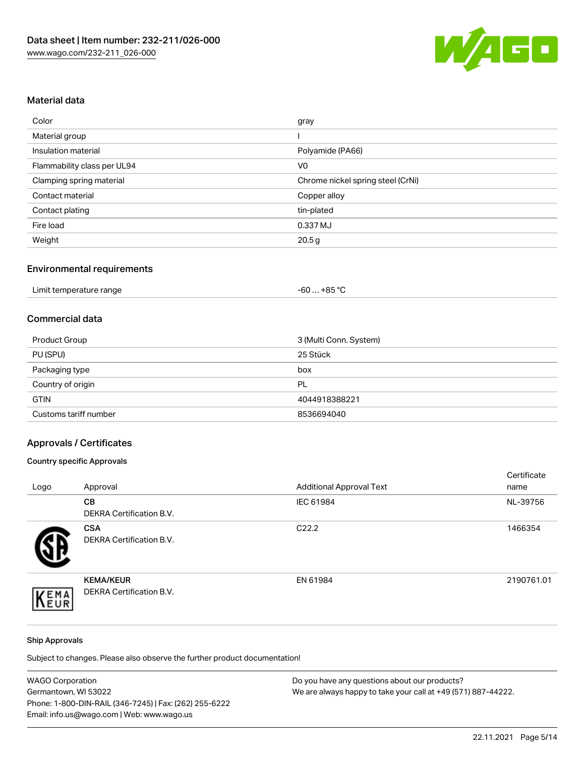

### Material data

| Color                       | gray                              |
|-----------------------------|-----------------------------------|
| Material group              |                                   |
| Insulation material         | Polyamide (PA66)                  |
| Flammability class per UL94 | V <sub>0</sub>                    |
| Clamping spring material    | Chrome nickel spring steel (CrNi) |
| Contact material            | Copper alloy                      |
| Contact plating             | tin-plated                        |
| Fire load                   | 0.337 MJ                          |
| Weight                      | 20.5 <sub>g</sub>                 |

## Environmental requirements

| Limit temperature range<br>.<br>$\blacksquare$ . The contract of the contract of the contract of the contract of the contract of the contract of the contract of the contract of the contract of the contract of the contract of the contract of the contract of the | …+85 °C.<br>$-60$ |  |
|----------------------------------------------------------------------------------------------------------------------------------------------------------------------------------------------------------------------------------------------------------------------|-------------------|--|
|----------------------------------------------------------------------------------------------------------------------------------------------------------------------------------------------------------------------------------------------------------------------|-------------------|--|

#### Commercial data

| Product Group         | 3 (Multi Conn. System) |
|-----------------------|------------------------|
| PU (SPU)              | 25 Stück               |
| Packaging type        | box                    |
| Country of origin     | PL                     |
| <b>GTIN</b>           | 4044918388221          |
| Customs tariff number | 8536694040             |

## Approvals / Certificates

### Country specific Approvals

| Logo | Approval                                            | <b>Additional Approval Text</b> | Certificate<br>name |
|------|-----------------------------------------------------|---------------------------------|---------------------|
|      | <b>CB</b><br><b>DEKRA Certification B.V.</b>        | IEC 61984                       | NL-39756            |
|      | <b>CSA</b><br>DEKRA Certification B.V.              | C <sub>22.2</sub>               | 1466354             |
| EMA  | <b>KEMA/KEUR</b><br><b>DEKRA Certification B.V.</b> | EN 61984                        | 2190761.01          |

#### Ship Approvals

Subject to changes. Please also observe the further product documentation!

| <b>WAGO Corporation</b>                                | Do you have any questions about our products?                 |
|--------------------------------------------------------|---------------------------------------------------------------|
| Germantown, WI 53022                                   | We are always happy to take your call at +49 (571) 887-44222. |
| Phone: 1-800-DIN-RAIL (346-7245)   Fax: (262) 255-6222 |                                                               |
| Email: info.us@wago.com   Web: www.wago.us             |                                                               |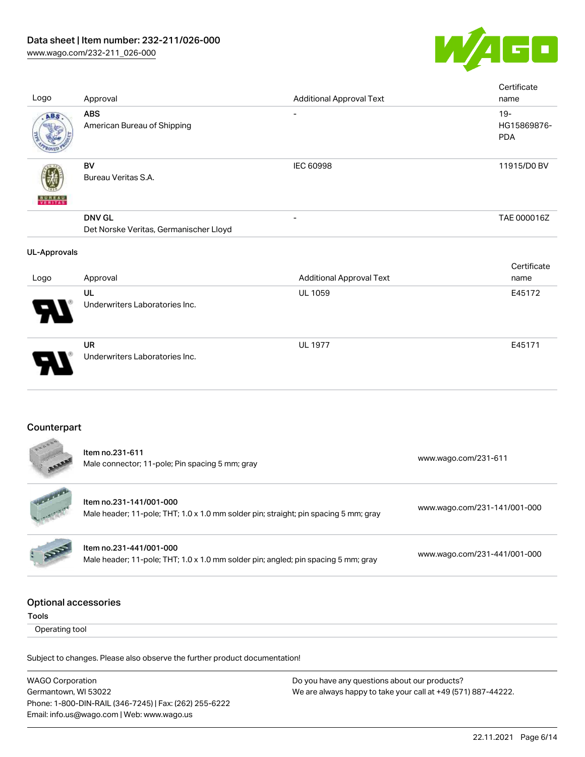

| Logo                                        | Approval                                                                                                        | <b>Additional Approval Text</b> | Certificate<br>name                 |
|---------------------------------------------|-----------------------------------------------------------------------------------------------------------------|---------------------------------|-------------------------------------|
| ABS                                         | <b>ABS</b><br>American Bureau of Shipping                                                                       |                                 | $19 -$<br>HG15869876-<br><b>PDA</b> |
|                                             | <b>BV</b><br>Bureau Veritas S.A.                                                                                | <b>IEC 60998</b>                | 11915/D0 BV                         |
|                                             | <b>DNV GL</b><br>Det Norske Veritas, Germanischer Lloyd                                                         |                                 | TAE 000016Z                         |
| <b>UL-Approvals</b>                         |                                                                                                                 |                                 |                                     |
| Logo                                        | Approval                                                                                                        | <b>Additional Approval Text</b> | Certificate<br>name                 |
|                                             | UL<br>Underwriters Laboratories Inc.                                                                            | UL 1059                         | E45172                              |
|                                             | <b>UR</b><br>Underwriters Laboratories Inc.                                                                     | <b>UL 1977</b>                  | E45171                              |
| Counterpart                                 |                                                                                                                 |                                 |                                     |
|                                             | Item no.231-611<br>Male connector; 11-pole; Pin spacing 5 mm; gray                                              |                                 | www.wago.com/231-611                |
|                                             | Item no.231-141/001-000<br>Male header; 11-pole; THT; 1.0 x 1.0 mm solder pin; straight; pin spacing 5 mm; gray |                                 | www.wago.com/231-141/001-000        |
|                                             | Item no.231-441/001-000<br>Male header; 11-pole; THT; 1.0 x 1.0 mm solder pin; angled; pin spacing 5 mm; gray   |                                 | www.wago.com/231-441/001-000        |
| <b>Optional accessories</b><br><b>Tools</b> |                                                                                                                 |                                 |                                     |
| Operating tool                              |                                                                                                                 |                                 |                                     |
|                                             | Subject to changes. Please also observe the further product documentation!                                      |                                 |                                     |

WAGO Corporation Germantown, WI 53022 Phone: 1-800-DIN-RAIL (346-7245) | Fax: (262) 255-6222 Email: info.us@wago.com | Web: www.wago.us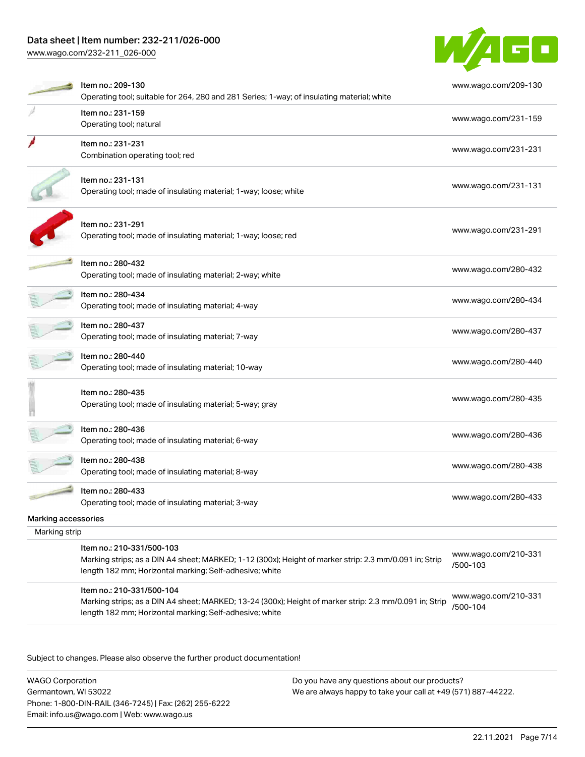## Data sheet | Item number: 232-211/026-000

[www.wago.com/232-211\\_026-000](http://www.wago.com/232-211_026-000)



|                     | Item no.: 209-130                                                                                                                                                 | www.wago.com/209-130             |
|---------------------|-------------------------------------------------------------------------------------------------------------------------------------------------------------------|----------------------------------|
|                     | Operating tool; suitable for 264, 280 and 281 Series; 1-way; of insulating material; white                                                                        |                                  |
|                     | Item no.: 231-159<br>Operating tool; natural                                                                                                                      | www.wago.com/231-159             |
|                     |                                                                                                                                                                   |                                  |
|                     | Item no.: 231-231                                                                                                                                                 | www.wago.com/231-231             |
|                     | Combination operating tool; red                                                                                                                                   |                                  |
|                     | Item no.: 231-131                                                                                                                                                 |                                  |
|                     | Operating tool; made of insulating material; 1-way; loose; white                                                                                                  | www.wago.com/231-131             |
|                     | Item no.: 231-291                                                                                                                                                 |                                  |
|                     | Operating tool; made of insulating material; 1-way; loose; red                                                                                                    | www.wago.com/231-291             |
|                     | Item no.: 280-432                                                                                                                                                 | www.wago.com/280-432             |
|                     | Operating tool; made of insulating material; 2-way; white                                                                                                         |                                  |
|                     | ltem no.: 280-434                                                                                                                                                 | www.wago.com/280-434             |
|                     | Operating tool; made of insulating material; 4-way                                                                                                                |                                  |
|                     | Item no.: 280-437                                                                                                                                                 | www.wago.com/280-437             |
|                     | Operating tool; made of insulating material; 7-way                                                                                                                |                                  |
|                     | Item no.: 280-440                                                                                                                                                 | www.wago.com/280-440             |
|                     | Operating tool; made of insulating material; 10-way                                                                                                               |                                  |
|                     | Item no.: 280-435                                                                                                                                                 |                                  |
|                     | Operating tool; made of insulating material; 5-way; gray                                                                                                          | www.wago.com/280-435             |
|                     |                                                                                                                                                                   |                                  |
|                     | Item no.: 280-436                                                                                                                                                 | www.wago.com/280-436             |
|                     | Operating tool; made of insulating material; 6-way                                                                                                                |                                  |
|                     | Item no.: 280-438                                                                                                                                                 | www.wago.com/280-438             |
|                     | Operating tool; made of insulating material; 8-way                                                                                                                |                                  |
|                     | Item no.: 280-433                                                                                                                                                 | www.wago.com/280-433             |
|                     | Operating tool; made of insulating material; 3-way                                                                                                                |                                  |
| Marking accessories |                                                                                                                                                                   |                                  |
| Marking strip       |                                                                                                                                                                   |                                  |
|                     | Item no.: 210-331/500-103                                                                                                                                         | www.wago.com/210-331             |
|                     | Marking strips; as a DIN A4 sheet; MARKED; 1-12 (300x); Height of marker strip: 2.3 mm/0.091 in; Strip<br>length 182 mm; Horizontal marking; Self-adhesive; white | /500-103                         |
|                     | Item no.: 210-331/500-104                                                                                                                                         |                                  |
|                     | Marking strips; as a DIN A4 sheet; MARKED; 13-24 (300x); Height of marker strip: 2.3 mm/0.091 in; Strip                                                           | www.wago.com/210-331<br>/500-104 |
|                     | length 182 mm; Horizontal marking; Self-adhesive; white                                                                                                           |                                  |

Subject to changes. Please also observe the further product documentation!

WAGO Corporation Germantown, WI 53022 Phone: 1-800-DIN-RAIL (346-7245) | Fax: (262) 255-6222 Email: info.us@wago.com | Web: www.wago.us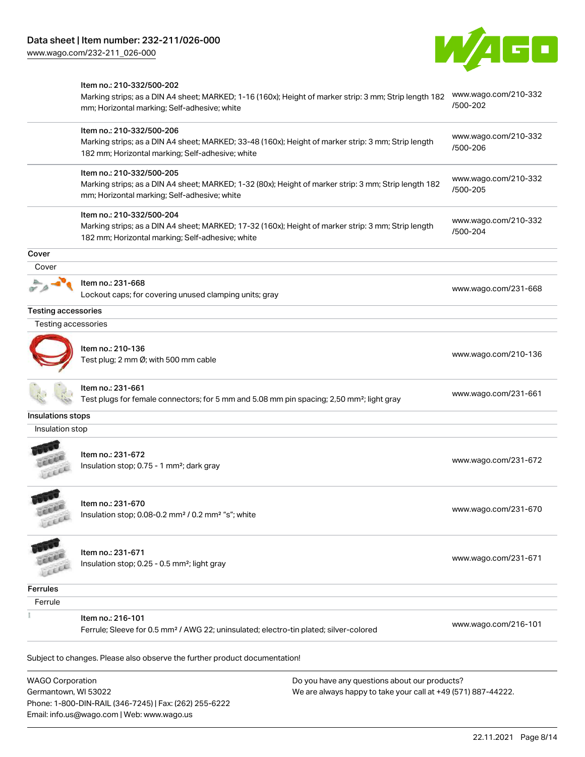Phone: 1-800-DIN-RAIL (346-7245) | Fax: (262) 255-6222

Email: info.us@wago.com | Web: www.wago.us



|                                                 | Item no.: 210-332/500-202<br>Marking strips; as a DIN A4 sheet; MARKED; 1-16 (160x); Height of marker strip: 3 mm; Strip length 182<br>mm; Horizontal marking; Self-adhesive; white  |                                                                                                                | www.wago.com/210-332<br>/500-202 |
|-------------------------------------------------|--------------------------------------------------------------------------------------------------------------------------------------------------------------------------------------|----------------------------------------------------------------------------------------------------------------|----------------------------------|
|                                                 | Item no.: 210-332/500-206<br>Marking strips; as a DIN A4 sheet; MARKED; 33-48 (160x); Height of marker strip: 3 mm; Strip length<br>182 mm; Horizontal marking; Self-adhesive; white |                                                                                                                | www.wago.com/210-332<br>/500-206 |
|                                                 | Item no.: 210-332/500-205<br>Marking strips; as a DIN A4 sheet; MARKED; 1-32 (80x); Height of marker strip: 3 mm; Strip length 182<br>mm; Horizontal marking; Self-adhesive; white   |                                                                                                                | www.wago.com/210-332<br>/500-205 |
|                                                 | Item no.: 210-332/500-204<br>Marking strips; as a DIN A4 sheet; MARKED; 17-32 (160x); Height of marker strip: 3 mm; Strip length<br>182 mm; Horizontal marking; Self-adhesive; white |                                                                                                                | www.wago.com/210-332<br>/500-204 |
| Cover                                           |                                                                                                                                                                                      |                                                                                                                |                                  |
| Cover                                           |                                                                                                                                                                                      |                                                                                                                |                                  |
|                                                 | Item no.: 231-668<br>Lockout caps; for covering unused clamping units; gray                                                                                                          |                                                                                                                | www.wago.com/231-668             |
| <b>Testing accessories</b>                      |                                                                                                                                                                                      |                                                                                                                |                                  |
| Testing accessories                             |                                                                                                                                                                                      |                                                                                                                |                                  |
|                                                 | Item no.: 210-136<br>Test plug; 2 mm Ø; with 500 mm cable                                                                                                                            |                                                                                                                | www.wago.com/210-136             |
|                                                 | ltem no.: 231-661<br>Test plugs for female connectors; for 5 mm and 5.08 mm pin spacing; 2,50 mm <sup>2</sup> ; light gray                                                           |                                                                                                                | www.wago.com/231-661             |
| Insulations stops                               |                                                                                                                                                                                      |                                                                                                                |                                  |
| Insulation stop                                 |                                                                                                                                                                                      |                                                                                                                |                                  |
|                                                 | Item no.: 231-672<br>Insulation stop; 0.75 - 1 mm <sup>2</sup> ; dark gray                                                                                                           |                                                                                                                | www.wago.com/231-672             |
| cice                                            | ltem no.: 231-670<br>Insulation stop; 0.08-0.2 mm <sup>2</sup> / 0.2 mm <sup>2</sup> "s"; white                                                                                      |                                                                                                                | www.wago.com/231-670             |
| LLEE                                            | Item no.: 231-671<br>Insulation stop; 0.25 - 0.5 mm <sup>2</sup> ; light gray                                                                                                        |                                                                                                                | www.wago.com/231-671             |
| <b>Ferrules</b>                                 |                                                                                                                                                                                      |                                                                                                                |                                  |
| Ferrule                                         |                                                                                                                                                                                      |                                                                                                                |                                  |
|                                                 | Item no.: 216-101<br>Ferrule; Sleeve for 0.5 mm <sup>2</sup> / AWG 22; uninsulated; electro-tin plated; silver-colored                                                               |                                                                                                                | www.wago.com/216-101             |
|                                                 | Subject to changes. Please also observe the further product documentation!                                                                                                           |                                                                                                                |                                  |
| <b>WAGO Corporation</b><br>Germantown, WI 53022 |                                                                                                                                                                                      | Do you have any questions about our products?<br>We are always happy to take your call at +49 (571) 887-44222. |                                  |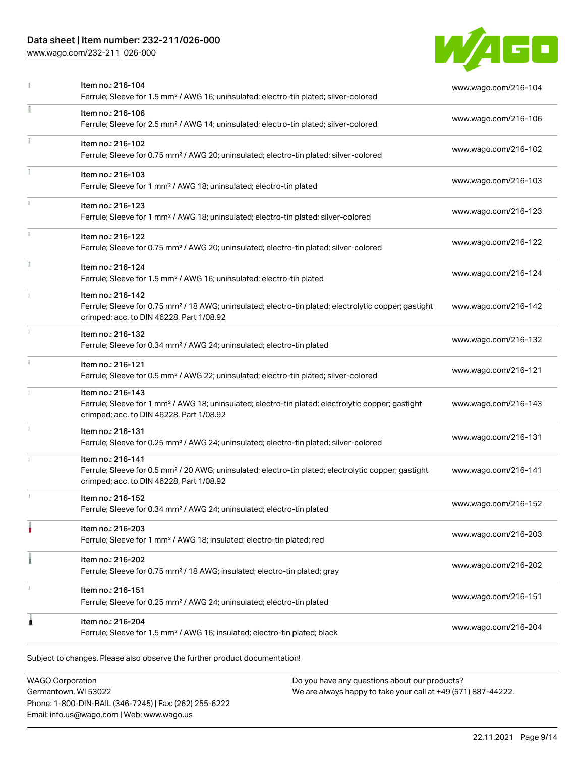## Data sheet | Item number: 232-211/026-000

[www.wago.com/232-211\\_026-000](http://www.wago.com/232-211_026-000)



|    | Item no.: 216-104<br>Ferrule; Sleeve for 1.5 mm <sup>2</sup> / AWG 16; uninsulated; electro-tin plated; silver-colored                                                             | www.wago.com/216-104 |
|----|------------------------------------------------------------------------------------------------------------------------------------------------------------------------------------|----------------------|
| ı  | Item no.: 216-106<br>Ferrule; Sleeve for 2.5 mm <sup>2</sup> / AWG 14; uninsulated; electro-tin plated; silver-colored                                                             | www.wago.com/216-106 |
|    | Item no.: 216-102<br>Ferrule; Sleeve for 0.75 mm <sup>2</sup> / AWG 20; uninsulated; electro-tin plated; silver-colored                                                            | www.wago.com/216-102 |
|    | Item no.: 216-103<br>Ferrule; Sleeve for 1 mm <sup>2</sup> / AWG 18; uninsulated; electro-tin plated                                                                               | www.wago.com/216-103 |
| i. | Item no.: 216-123<br>Ferrule; Sleeve for 1 mm <sup>2</sup> / AWG 18; uninsulated; electro-tin plated; silver-colored                                                               | www.wago.com/216-123 |
| ī. | Item no.: 216-122<br>Ferrule; Sleeve for 0.75 mm <sup>2</sup> / AWG 20; uninsulated; electro-tin plated; silver-colored                                                            | www.wago.com/216-122 |
|    | Item no.: 216-124<br>Ferrule; Sleeve for 1.5 mm <sup>2</sup> / AWG 16; uninsulated; electro-tin plated                                                                             | www.wago.com/216-124 |
|    | Item no.: 216-142<br>Ferrule; Sleeve for 0.75 mm <sup>2</sup> / 18 AWG; uninsulated; electro-tin plated; electrolytic copper; gastight<br>crimped; acc. to DIN 46228, Part 1/08.92 | www.wago.com/216-142 |
|    | Item no.: 216-132<br>Ferrule; Sleeve for 0.34 mm <sup>2</sup> / AWG 24; uninsulated; electro-tin plated                                                                            | www.wago.com/216-132 |
|    | Item no.: 216-121<br>Ferrule; Sleeve for 0.5 mm <sup>2</sup> / AWG 22; uninsulated; electro-tin plated; silver-colored                                                             | www.wago.com/216-121 |
|    | Item no.: 216-143<br>Ferrule; Sleeve for 1 mm <sup>2</sup> / AWG 18; uninsulated; electro-tin plated; electrolytic copper; gastight<br>crimped; acc. to DIN 46228, Part 1/08.92    | www.wago.com/216-143 |
|    | Item no.: 216-131<br>Ferrule; Sleeve for 0.25 mm <sup>2</sup> / AWG 24; uninsulated; electro-tin plated; silver-colored                                                            | www.wago.com/216-131 |
|    | Item no.: 216-141<br>Ferrule; Sleeve for 0.5 mm <sup>2</sup> / 20 AWG; uninsulated; electro-tin plated; electrolytic copper; gastight<br>crimped; acc. to DIN 46228, Part 1/08.92  | www.wago.com/216-141 |
| ı. | Item no.: 216-152<br>Ferrule; Sleeve for 0.34 mm <sup>2</sup> / AWG 24; uninsulated; electro-tin plated                                                                            | www.wago.com/216-152 |
|    | Item no.: 216-203<br>Ferrule; Sleeve for 1 mm <sup>2</sup> / AWG 18; insulated; electro-tin plated; red                                                                            | www.wago.com/216-203 |
|    | Item no.: 216-202<br>Ferrule; Sleeve for 0.75 mm <sup>2</sup> / 18 AWG; insulated; electro-tin plated; gray                                                                        | www.wago.com/216-202 |
|    | Item no.: 216-151<br>Ferrule; Sleeve for 0.25 mm <sup>2</sup> / AWG 24; uninsulated; electro-tin plated                                                                            | www.wago.com/216-151 |
| 1  | Item no.: 216-204<br>Ferrule; Sleeve for 1.5 mm <sup>2</sup> / AWG 16; insulated; electro-tin plated; black                                                                        | www.wago.com/216-204 |

WAGO Corporation Germantown, WI 53022 Phone: 1-800-DIN-RAIL (346-7245) | Fax: (262) 255-6222 Email: info.us@wago.com | Web: www.wago.us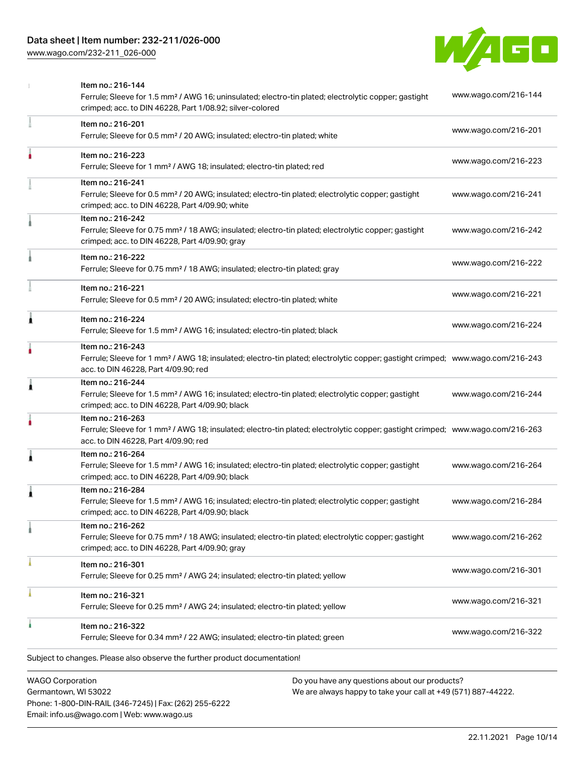### Data sheet | Item number: 232-211/026-000

[www.wago.com/232-211\\_026-000](http://www.wago.com/232-211_026-000)



|   | <b>WAGO Corporation</b><br>Do you have any questions about our products?                                                                                                                                |                      |
|---|---------------------------------------------------------------------------------------------------------------------------------------------------------------------------------------------------------|----------------------|
|   | Subject to changes. Please also observe the further product documentation!                                                                                                                              |                      |
|   | Item no.: 216-322<br>Ferrule; Sleeve for 0.34 mm <sup>2</sup> / 22 AWG; insulated; electro-tin plated; green                                                                                            | www.wago.com/216-322 |
|   | Item no.: 216-321<br>Ferrule; Sleeve for 0.25 mm <sup>2</sup> / AWG 24; insulated; electro-tin plated; yellow                                                                                           | www.wago.com/216-321 |
|   | Item no.: 216-301<br>Ferrule; Sleeve for 0.25 mm <sup>2</sup> / AWG 24; insulated; electro-tin plated; yellow                                                                                           | www.wago.com/216-301 |
|   | Item no.: 216-262<br>Ferrule; Sleeve for 0.75 mm <sup>2</sup> / 18 AWG; insulated; electro-tin plated; electrolytic copper; gastight<br>crimped; acc. to DIN 46228, Part 4/09.90; gray                  | www.wago.com/216-262 |
|   | Item no.: 216-284<br>Ferrule; Sleeve for 1.5 mm <sup>2</sup> / AWG 16; insulated; electro-tin plated; electrolytic copper; gastight<br>crimped; acc. to DIN 46228, Part 4/09.90; black                  | www.wago.com/216-284 |
| 1 | Item no.: 216-264<br>Ferrule; Sleeve for 1.5 mm <sup>2</sup> / AWG 16; insulated; electro-tin plated; electrolytic copper; gastight<br>crimped; acc. to DIN 46228, Part 4/09.90; black                  | www.wago.com/216-264 |
|   | Item no.: 216-263<br>Ferrule; Sleeve for 1 mm <sup>2</sup> / AWG 18; insulated; electro-tin plated; electrolytic copper; gastight crimped; www.wago.com/216-263<br>acc. to DIN 46228, Part 4/09.90; red |                      |
| 1 | Item no.: 216-244<br>Ferrule; Sleeve for 1.5 mm <sup>2</sup> / AWG 16; insulated; electro-tin plated; electrolytic copper; gastight<br>crimped; acc. to DIN 46228, Part 4/09.90; black                  | www.wago.com/216-244 |
|   | Item no.: 216-243<br>Ferrule; Sleeve for 1 mm <sup>2</sup> / AWG 18; insulated; electro-tin plated; electrolytic copper; gastight crimped; www.wago.com/216-243<br>acc. to DIN 46228, Part 4/09.90; red |                      |
| Ă | Item no.: 216-224<br>Ferrule; Sleeve for 1.5 mm <sup>2</sup> / AWG 16; insulated; electro-tin plated; black                                                                                             | www.wago.com/216-224 |
|   | Item no.: 216-221<br>Ferrule; Sleeve for 0.5 mm <sup>2</sup> / 20 AWG; insulated; electro-tin plated; white                                                                                             | www.wago.com/216-221 |
|   | Item no.: 216-222<br>Ferrule; Sleeve for 0.75 mm <sup>2</sup> / 18 AWG; insulated; electro-tin plated; gray                                                                                             | www.wago.com/216-222 |
|   | Item no.: 216-242<br>Ferrule; Sleeve for 0.75 mm <sup>2</sup> / 18 AWG; insulated; electro-tin plated; electrolytic copper; gastight<br>crimped; acc. to DIN 46228, Part 4/09.90; gray                  | www.wago.com/216-242 |
|   | Item no.: 216-241<br>Ferrule; Sleeve for 0.5 mm <sup>2</sup> / 20 AWG; insulated; electro-tin plated; electrolytic copper; gastight<br>crimped; acc. to DIN 46228, Part 4/09.90; white                  | www.wago.com/216-241 |
|   | Item no.: 216-223<br>Ferrule; Sleeve for 1 mm <sup>2</sup> / AWG 18; insulated; electro-tin plated; red                                                                                                 | www.wago.com/216-223 |
|   | Item no.: 216-201<br>Ferrule; Sleeve for 0.5 mm <sup>2</sup> / 20 AWG; insulated; electro-tin plated; white                                                                                             | www.wago.com/216-201 |
|   | Item no.: 216-144<br>Ferrule; Sleeve for 1.5 mm <sup>2</sup> / AWG 16; uninsulated; electro-tin plated; electrolytic copper; gastight<br>crimped; acc. to DIN 46228, Part 1/08.92; silver-colored       | www.wago.com/216-144 |

Germantown, WI 53022 Phone: 1-800-DIN-RAIL (346-7245) | Fax: (262) 255-6222 Email: info.us@wago.com | Web: www.wago.us

have any questions about o<mark>l</mark> We are always happy to take your call at +49 (571) 887-44222.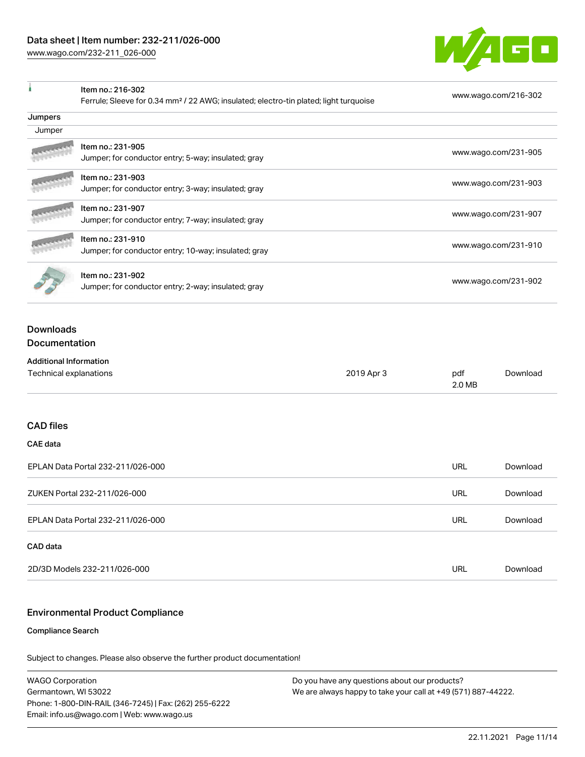Item no.: 216-302

 $\mathbf{I}$ 



| <b>ILEIII IIU 2 10-302</b><br>Ferrule; Sleeve for 0.34 mm <sup>2</sup> / 22 AWG; insulated; electro-tin plated; light turquoise |                                                                           | www.wago.com/216-302 |                      |                      |
|---------------------------------------------------------------------------------------------------------------------------------|---------------------------------------------------------------------------|----------------------|----------------------|----------------------|
| Jumpers                                                                                                                         |                                                                           |                      |                      |                      |
| Jumper                                                                                                                          |                                                                           |                      |                      |                      |
|                                                                                                                                 | Item no.: 231-905                                                         |                      |                      | www.wago.com/231-905 |
|                                                                                                                                 | Jumper; for conductor entry; 5-way; insulated; gray                       |                      |                      |                      |
|                                                                                                                                 | Item no.: 231-903<br>Jumper; for conductor entry; 3-way; insulated; gray  |                      |                      | www.wago.com/231-903 |
|                                                                                                                                 | Item no.: 231-907                                                         |                      |                      |                      |
|                                                                                                                                 | Jumper; for conductor entry; 7-way; insulated; gray                       |                      |                      | www.wago.com/231-907 |
|                                                                                                                                 | Item no.: 231-910<br>Jumper; for conductor entry; 10-way; insulated; gray |                      |                      | www.wago.com/231-910 |
|                                                                                                                                 |                                                                           |                      |                      |                      |
|                                                                                                                                 | Item no.: 231-902<br>Jumper; for conductor entry; 2-way; insulated; gray  |                      | www.wago.com/231-902 |                      |
| <b>Downloads</b>                                                                                                                |                                                                           |                      |                      |                      |
| Documentation                                                                                                                   |                                                                           |                      |                      |                      |
| <b>Additional Information</b>                                                                                                   |                                                                           |                      |                      |                      |
| Technical explanations                                                                                                          |                                                                           | 2019 Apr 3           | pdf<br>2.0 MB        | Download             |
| <b>CAD</b> files                                                                                                                |                                                                           |                      |                      |                      |
| <b>CAE</b> data                                                                                                                 |                                                                           |                      |                      |                      |
|                                                                                                                                 | EPLAN Data Portal 232-211/026-000                                         |                      | <b>URL</b>           | Download             |
| ZUKEN Portal 232-211/026-000                                                                                                    |                                                                           | <b>URL</b>           | Download             |                      |
| EPLAN Data Portal 232-211/026-000                                                                                               |                                                                           | <b>URL</b>           | Download             |                      |
| CAD data                                                                                                                        |                                                                           |                      |                      |                      |
|                                                                                                                                 | 2D/3D Models 232-211/026-000                                              |                      | <b>URL</b>           | Download             |

### Environmental Product Compliance

#### Compliance Search

Subject to changes. Please also observe the further product documentation!

WAGO Corporation Germantown, WI 53022 Phone: 1-800-DIN-RAIL (346-7245) | Fax: (262) 255-6222 Email: info.us@wago.com | Web: www.wago.us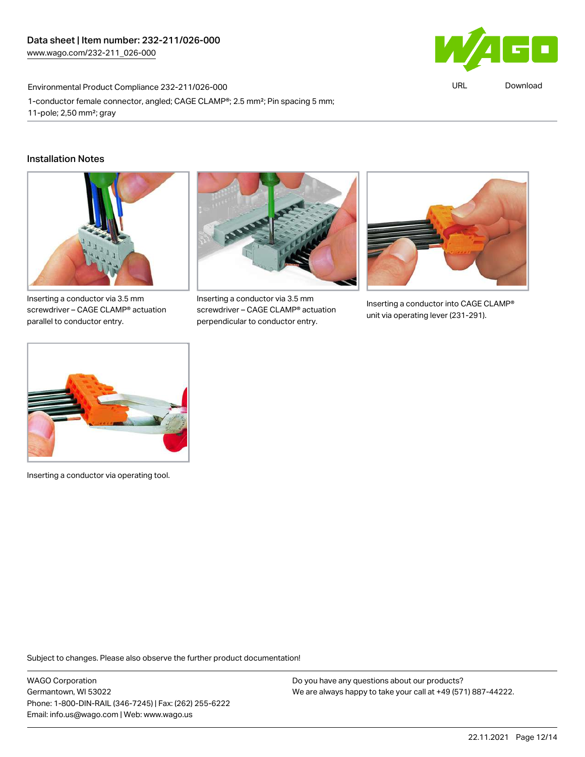

URL [Download](https://www.wago.com/global/d/ComplianceLinkMediaContainer_232-211_026-000)

Environmental Product Compliance 232-211/026-000

1-conductor female connector, angled; CAGE CLAMP®; 2.5 mm²; Pin spacing 5 mm; 11-pole; 2,50 mm²; gray

#### Installation Notes



Inserting a conductor via 3.5 mm screwdriver – CAGE CLAMP® actuation parallel to conductor entry.



Inserting a conductor via 3.5 mm screwdriver – CAGE CLAMP® actuation perpendicular to conductor entry.



Inserting a conductor into CAGE CLAMP® unit via operating lever (231-291).



Inserting a conductor via operating tool.

Subject to changes. Please also observe the further product documentation!

WAGO Corporation Germantown, WI 53022 Phone: 1-800-DIN-RAIL (346-7245) | Fax: (262) 255-6222 Email: info.us@wago.com | Web: www.wago.us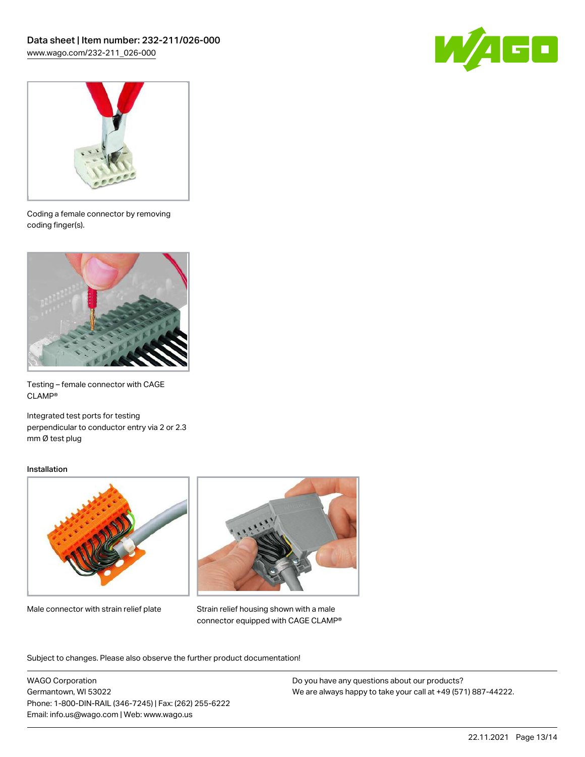



Coding a female connector by removing coding finger(s).



Testing – female connector with CAGE CLAMP®

Integrated test ports for testing perpendicular to conductor entry via 2 or 2.3 mm Ø test plug

#### Installation



Male connector with strain relief plate



Strain relief housing shown with a male connector equipped with CAGE CLAMP®

Subject to changes. Please also observe the further product documentation!

WAGO Corporation Germantown, WI 53022 Phone: 1-800-DIN-RAIL (346-7245) | Fax: (262) 255-6222 Email: info.us@wago.com | Web: www.wago.us